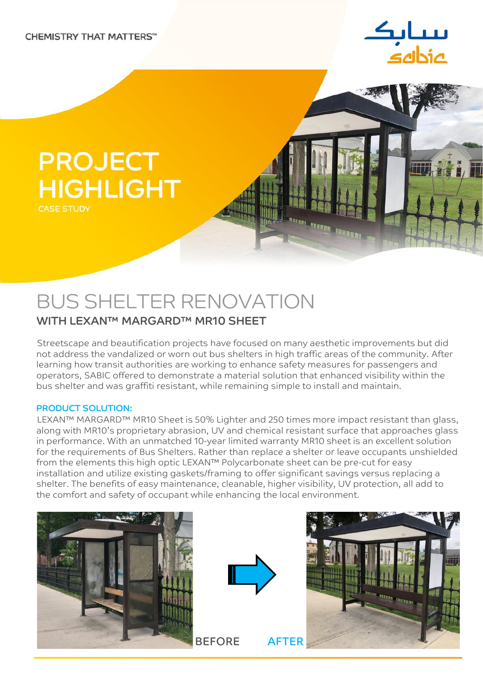

四味 美美

# PROJECT HIGHLIGHT

#### CASE STUDY

# BUS SHELTER RENOVATION WITH LEXAN™ MARGARD™ MR10 SHEET

#### Streetscape and beautification projects have focused on many aesthetic improvements but did not address the vandalized or worn out bus shelters in high traffic areas of the community. After learning how transit authorities are working to enhance safety measures for passengers and operators, SABIC offered to demonstrate a material solution that enhanced visibility within the bus shelter and was graffiti resistant, while remaining simple to install and maintain.

um um uma

#### PRODUCT SOLUTION:

LEXAN™ MARGARD™ MR10 Sheet is 50% Lighter and 250 times more impact resistant than glass, along with MR10's proprietary abrasion, UV and chemical resistant surface that approaches glass in performance. With an unmatched 10-year limited warranty MR10 sheet is an excellent solution for the requirements of Bus Shelters. Rather than replace a shelter or leave occupants unshielded from the elements this high optic LEXAN™ Polycarbonate sheet can be pre-cut for easy installation and utilize existing gaskets/framing to offer significant savings versus replacing a shelter. The benefits of easy maintenance, cleanable, higher visibility, UV protection, all add to the comfort and safety of occupant while enhancing the local environment.